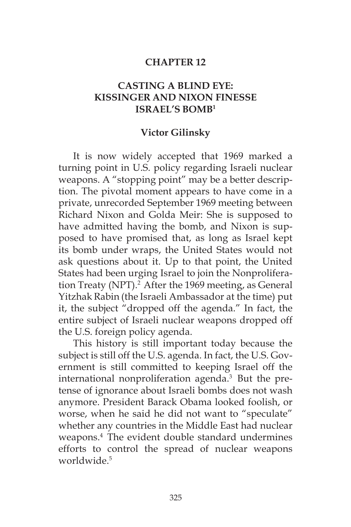#### **CHAPTER 12**

### **CASTING A BLIND EYE: KISSINGER AND NIXON FINESSE ISRAEL'S BOMB1**

#### **Victor Gilinsky**

It is now widely accepted that 1969 marked a turning point in U.S. policy regarding Israeli nuclear weapons. A "stopping point" may be a better description. The pivotal moment appears to have come in a private, unrecorded September 1969 meeting between Richard Nixon and Golda Meir: She is supposed to have admitted having the bomb, and Nixon is supposed to have promised that, as long as Israel kept its bomb under wraps, the United States would not ask questions about it. Up to that point, the United States had been urging Israel to join the Nonproliferation Treaty (NPT).<sup>2</sup> After the 1969 meeting, as General Yitzhak Rabin (the Israeli Ambassador at the time) put it, the subject "dropped off the agenda." In fact, the entire subject of Israeli nuclear weapons dropped off the U.S. foreign policy agenda.

This history is still important today because the subject is still off the U.S. agenda. In fact, the U.S. Government is still committed to keeping Israel off the international nonproliferation agenda.<sup>3</sup> But the pretense of ignorance about Israeli bombs does not wash anymore. President Barack Obama looked foolish, or worse, when he said he did not want to "speculate" whether any countries in the Middle East had nuclear weapons.<sup>4</sup> The evident double standard undermines efforts to control the spread of nuclear weapons worldwide<sup>5</sup>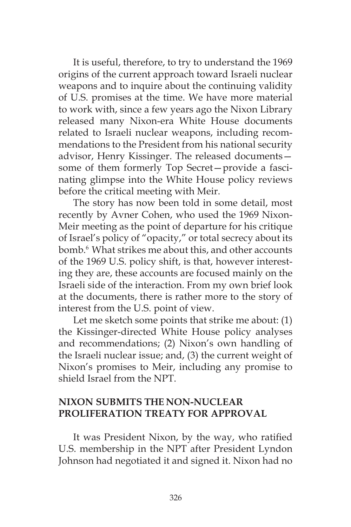It is useful, therefore, to try to understand the 1969 origins of the current approach toward Israeli nuclear weapons and to inquire about the continuing validity of U.S. promises at the time. We have more material to work with, since a few years ago the Nixon Library released many Nixon-era White House documents related to Israeli nuclear weapons, including recommendations to the President from his national security advisor, Henry Kissinger. The released documents some of them formerly Top Secret—provide a fascinating glimpse into the White House policy reviews before the critical meeting with Meir.

The story has now been told in some detail, most recently by Avner Cohen, who used the 1969 Nixon-Meir meeting as the point of departure for his critique of Israel's policy of "opacity," or total secrecy about its bomb.6 What strikes me about this, and other accounts of the 1969 U.S. policy shift, is that, however interesting they are, these accounts are focused mainly on the Israeli side of the interaction. From my own brief look at the documents, there is rather more to the story of interest from the U.S. point of view.

Let me sketch some points that strike me about: (1) the Kissinger-directed White House policy analyses and recommendations; (2) Nixon's own handling of the Israeli nuclear issue; and, (3) the current weight of Nixon's promises to Meir, including any promise to shield Israel from the NPT.

### **NIXON SUBMITS THE NON-NUCLEAR PROLIFERATION TREATY FOR APPROVAL**

It was President Nixon, by the way, who ratified U.S. membership in the NPT after President Lyndon Johnson had negotiated it and signed it. Nixon had no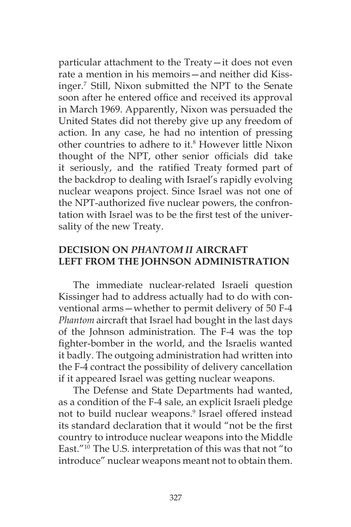particular attachment to the Treaty—it does not even rate a mention in his memoirs—and neither did Kissinger.7 Still, Nixon submitted the NPT to the Senate soon after he entered office and received its approval in March 1969. Apparently, Nixon was persuaded the United States did not thereby give up any freedom of action. In any case, he had no intention of pressing other countries to adhere to it.<sup>8</sup> However little Nixon thought of the NPT, other senior officials did take it seriously, and the ratified Treaty formed part of the backdrop to dealing with Israel's rapidly evolving nuclear weapons project. Since Israel was not one of the NPT-authorized five nuclear powers, the confrontation with Israel was to be the first test of the universality of the new Treaty.

### **DECISION ON** *PHANTOM II* **AIRCRAFT LEFT FROM THE JOHNSON ADMINISTRATION**

The immediate nuclear-related Israeli question Kissinger had to address actually had to do with conventional arms—whether to permit delivery of 50 F-4 *Phantom* aircraft that Israel had bought in the last days of the Johnson administration. The F-4 was the top fighter-bomber in the world, and the Israelis wanted it badly. The outgoing administration had written into the F-4 contract the possibility of delivery cancellation if it appeared Israel was getting nuclear weapons.

The Defense and State Departments had wanted, as a condition of the F-4 sale, an explicit Israeli pledge not to build nuclear weapons.<sup>9</sup> Israel offered instead its standard declaration that it would "not be the first country to introduce nuclear weapons into the Middle East."10 The U.S. interpretation of this was that not "to introduce" nuclear weapons meant not to obtain them.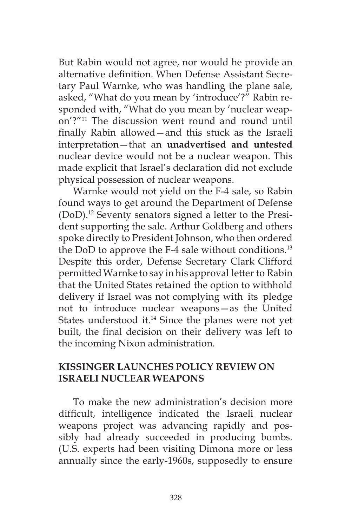But Rabin would not agree, nor would he provide an alternative definition. When Defense Assistant Secretary Paul Warnke, who was handling the plane sale, asked, "What do you mean by 'introduce'?" Rabin responded with, "What do you mean by 'nuclear weapon'?"11 The discussion went round and round until finally Rabin allowed—and this stuck as the Israeli interpretation—that an **unadvertised and untested** nuclear device would not be a nuclear weapon. This made explicit that Israel's declaration did not exclude physical possession of nuclear weapons.

Warnke would not yield on the F-4 sale, so Rabin found ways to get around the Department of Defense (DoD).12 Seventy senators signed a letter to the President supporting the sale. Arthur Goldberg and others spoke directly to President Johnson, who then ordered the DoD to approve the F-4 sale without conditions.<sup>13</sup> Despite this order, Defense Secretary Clark Clifford permitted Warnke to say in his approval letter to Rabin that the United States retained the option to withhold delivery if Israel was not complying with its pledge not to introduce nuclear weapons—as the United States understood it.<sup>14</sup> Since the planes were not yet built, the final decision on their delivery was left to the incoming Nixon administration.

#### **KISSINGER LAUNCHES POLICY REVIEW ON ISRAELI NUCLEAR WEAPONS**

To make the new administration's decision more difficult, intelligence indicated the Israeli nuclear weapons project was advancing rapidly and possibly had already succeeded in producing bombs. (U.S. experts had been visiting Dimona more or less annually since the early-1960s, supposedly to ensure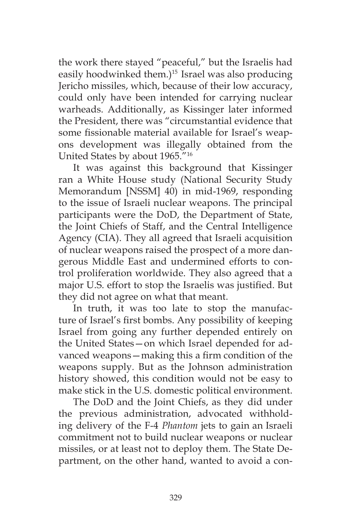the work there stayed "peaceful," but the Israelis had easily hoodwinked them.)<sup>15</sup> Israel was also producing Jericho missiles, which, because of their low accuracy, could only have been intended for carrying nuclear warheads. Additionally, as Kissinger later informed the President, there was "circumstantial evidence that some fissionable material available for Israel's weapons development was illegally obtained from the United States by about 1965."16

It was against this background that Kissinger ran a White House study (National Security Study Memorandum [NSSM] 40) in mid-1969, responding to the issue of Israeli nuclear weapons. The principal participants were the DoD, the Department of State, the Joint Chiefs of Staff, and the Central Intelligence Agency (CIA). They all agreed that Israeli acquisition of nuclear weapons raised the prospect of a more dangerous Middle East and undermined efforts to control proliferation worldwide. They also agreed that a major U.S. effort to stop the Israelis was justified. But they did not agree on what that meant.

In truth, it was too late to stop the manufacture of Israel's first bombs. Any possibility of keeping Israel from going any further depended entirely on the United States—on which Israel depended for advanced weapons—making this a firm condition of the weapons supply. But as the Johnson administration history showed, this condition would not be easy to make stick in the U.S. domestic political environment.

The DoD and the Joint Chiefs, as they did under the previous administration, advocated withholding delivery of the F-4 *Phantom* jets to gain an Israeli commitment not to build nuclear weapons or nuclear missiles, or at least not to deploy them. The State Department, on the other hand, wanted to avoid a con-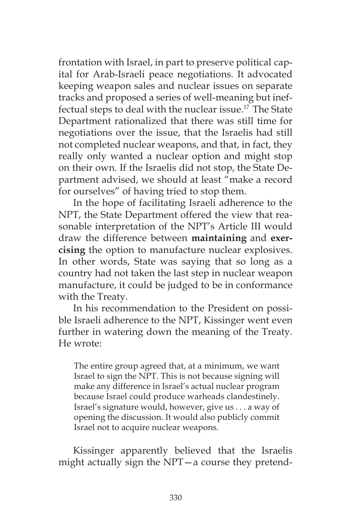frontation with Israel, in part to preserve political capital for Arab-Israeli peace negotiations. It advocated keeping weapon sales and nuclear issues on separate tracks and proposed a series of well-meaning but ineffectual steps to deal with the nuclear issue.<sup>17</sup> The State Department rationalized that there was still time for negotiations over the issue, that the Israelis had still not completed nuclear weapons, and that, in fact, they really only wanted a nuclear option and might stop on their own. If the Israelis did not stop, the State Department advised, we should at least "make a record for ourselves" of having tried to stop them.

In the hope of facilitating Israeli adherence to the NPT, the State Department offered the view that reasonable interpretation of the NPT's Article III would draw the difference between **maintaining** and **exercising** the option to manufacture nuclear explosives. In other words, State was saying that so long as a country had not taken the last step in nuclear weapon manufacture, it could be judged to be in conformance with the Treaty.

In his recommendation to the President on possible Israeli adherence to the NPT, Kissinger went even further in watering down the meaning of the Treaty. He wrote:

The entire group agreed that, at a minimum, we want Israel to sign the NPT. This is not because signing will make any difference in Israel's actual nuclear program because Israel could produce warheads clandestinely. Israel's signature would, however, give us . . . a way of opening the discussion. It would also publicly commit Israel not to acquire nuclear weapons.

Kissinger apparently believed that the Israelis might actually sign the NPT—a course they pretend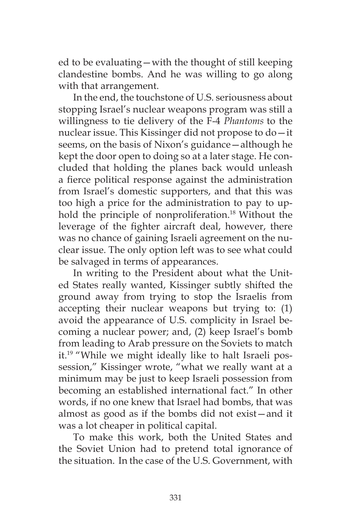ed to be evaluating—with the thought of still keeping clandestine bombs. And he was willing to go along with that arrangement.

In the end, the touchstone of U.S. seriousness about stopping Israel's nuclear weapons program was still a willingness to tie delivery of the F-4 *Phantoms* to the nuclear issue. This Kissinger did not propose to do—it seems, on the basis of Nixon's guidance—although he kept the door open to doing so at a later stage. He concluded that holding the planes back would unleash a fierce political response against the administration from Israel's domestic supporters, and that this was too high a price for the administration to pay to uphold the principle of nonproliferation.<sup>18</sup> Without the leverage of the fighter aircraft deal, however, there was no chance of gaining Israeli agreement on the nuclear issue. The only option left was to see what could be salvaged in terms of appearances.

In writing to the President about what the United States really wanted, Kissinger subtly shifted the ground away from trying to stop the Israelis from accepting their nuclear weapons but trying to: (1) avoid the appearance of U.S. complicity in Israel becoming a nuclear power; and, (2) keep Israel's bomb from leading to Arab pressure on the Soviets to match it.19 "While we might ideally like to halt Israeli possession," Kissinger wrote, "what we really want at a minimum may be just to keep Israeli possession from becoming an established international fact." In other words, if no one knew that Israel had bombs, that was almost as good as if the bombs did not exist—and it was a lot cheaper in political capital.

To make this work, both the United States and the Soviet Union had to pretend total ignorance of the situation. In the case of the U.S. Government, with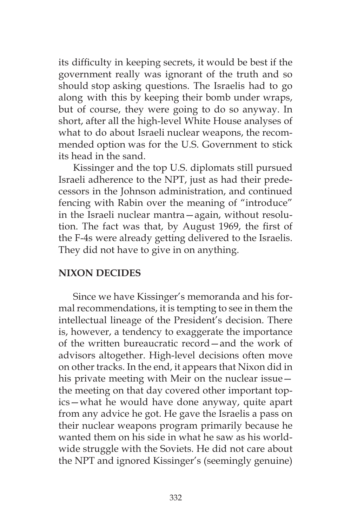its difficulty in keeping secrets, it would be best if the government really was ignorant of the truth and so should stop asking questions. The Israelis had to go along with this by keeping their bomb under wraps, but of course, they were going to do so anyway. In short, after all the high-level White House analyses of what to do about Israeli nuclear weapons, the recommended option was for the U.S. Government to stick its head in the sand.

Kissinger and the top U.S. diplomats still pursued Israeli adherence to the NPT, just as had their predecessors in the Johnson administration, and continued fencing with Rabin over the meaning of "introduce" in the Israeli nuclear mantra—again, without resolution. The fact was that, by August 1969, the first of the F-4s were already getting delivered to the Israelis. They did not have to give in on anything.

## **NIXON DECIDES**

Since we have Kissinger's memoranda and his formal recommendations, it is tempting to see in them the intellectual lineage of the President's decision. There is, however, a tendency to exaggerate the importance of the written bureaucratic record—and the work of advisors altogether. High-level decisions often move on other tracks. In the end, it appears that Nixon did in his private meeting with Meir on the nuclear issue the meeting on that day covered other important topics—what he would have done anyway, quite apart from any advice he got. He gave the Israelis a pass on their nuclear weapons program primarily because he wanted them on his side in what he saw as his worldwide struggle with the Soviets. He did not care about the NPT and ignored Kissinger's (seemingly genuine)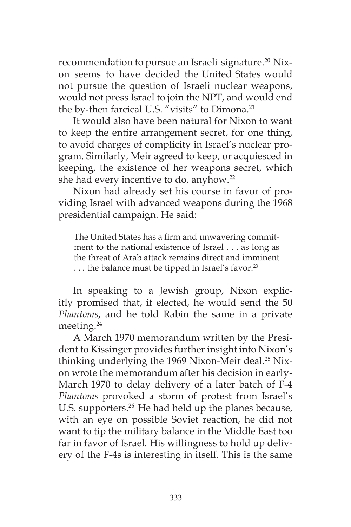recommendation to pursue an Israeli signature.<sup>20</sup> Nixon seems to have decided the United States would not pursue the question of Israeli nuclear weapons, would not press Israel to join the NPT, and would end the by-then farcical U.S. "visits" to Dimona.<sup>21</sup>

It would also have been natural for Nixon to want to keep the entire arrangement secret, for one thing, to avoid charges of complicity in Israel's nuclear program. Similarly, Meir agreed to keep, or acquiesced in keeping, the existence of her weapons secret, which she had every incentive to do, anyhow.<sup>22</sup>

Nixon had already set his course in favor of providing Israel with advanced weapons during the 1968 presidential campaign. He said:

The United States has a firm and unwavering commitment to the national existence of Israel . . . as long as the threat of Arab attack remains direct and imminent ... the balance must be tipped in Israel's favor.<sup>23</sup>

In speaking to a Jewish group, Nixon explicitly promised that, if elected, he would send the 50 *Phantoms*, and he told Rabin the same in a private meeting.<sup>24</sup>

A March 1970 memorandum written by the President to Kissinger provides further insight into Nixon's thinking underlying the 1969 Nixon-Meir deal.<sup>25</sup> Nixon wrote the memorandum after his decision in early-March 1970 to delay delivery of a later batch of F-4 *Phantoms* provoked a storm of protest from Israel's U.S. supporters.<sup>26</sup> He had held up the planes because, with an eye on possible Soviet reaction, he did not want to tip the military balance in the Middle East too far in favor of Israel. His willingness to hold up delivery of the F-4s is interesting in itself. This is the same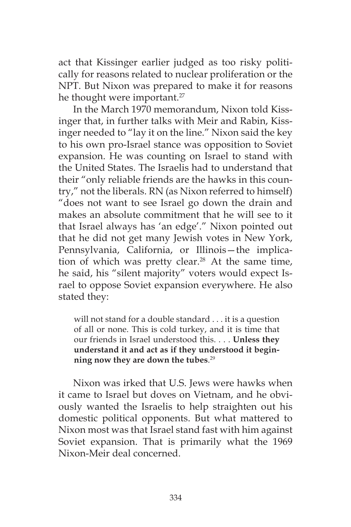act that Kissinger earlier judged as too risky politically for reasons related to nuclear proliferation or the NPT. But Nixon was prepared to make it for reasons he thought were important.<sup>27</sup>

In the March 1970 memorandum, Nixon told Kissinger that, in further talks with Meir and Rabin, Kissinger needed to "lay it on the line." Nixon said the key to his own pro-Israel stance was opposition to Soviet expansion. He was counting on Israel to stand with the United States. The Israelis had to understand that their "only reliable friends are the hawks in this country," not the liberals. RN (as Nixon referred to himself) "does not want to see Israel go down the drain and makes an absolute commitment that he will see to it that Israel always has 'an edge'." Nixon pointed out that he did not get many Jewish votes in New York, Pennsylvania, California, or Illinois—the implication of which was pretty clear.<sup>28</sup> At the same time, he said, his "silent majority" voters would expect Israel to oppose Soviet expansion everywhere. He also stated they:

will not stand for a double standard . . . it is a question of all or none. This is cold turkey, and it is time that our friends in Israel understood this. . . . **Unless they understand it and act as if they understood it beginning now they are down the tubes**. 29

Nixon was irked that U.S. Jews were hawks when it came to Israel but doves on Vietnam, and he obviously wanted the Israelis to help straighten out his domestic political opponents. But what mattered to Nixon most was that Israel stand fast with him against Soviet expansion. That is primarily what the 1969 Nixon-Meir deal concerned.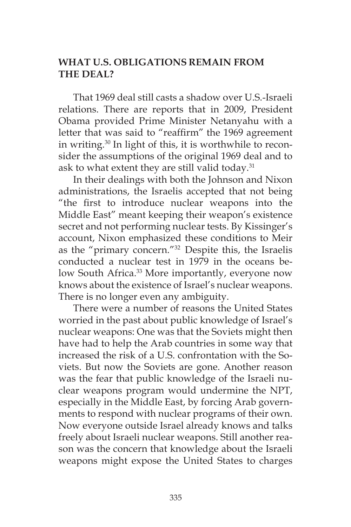# **WHAT U.S. OBLIGATIONS REMAIN FROM THE DEAL?**

That 1969 deal still casts a shadow over U.S.-Israeli relations. There are reports that in 2009, President Obama provided Prime Minister Netanyahu with a letter that was said to "reaffirm" the 1969 agreement in writing.30 In light of this, it is worthwhile to reconsider the assumptions of the original 1969 deal and to ask to what extent they are still valid today. $31$ 

In their dealings with both the Johnson and Nixon administrations, the Israelis accepted that not being "the first to introduce nuclear weapons into the Middle East" meant keeping their weapon's existence secret and not performing nuclear tests. By Kissinger's account, Nixon emphasized these conditions to Meir as the "primary concern."32 Despite this, the Israelis conducted a nuclear test in 1979 in the oceans below South Africa.<sup>33</sup> More importantly, everyone now knows about the existence of Israel's nuclear weapons. There is no longer even any ambiguity.

There were a number of reasons the United States worried in the past about public knowledge of Israel's nuclear weapons: One was that the Soviets might then have had to help the Arab countries in some way that increased the risk of a U.S. confrontation with the Soviets. But now the Soviets are gone. Another reason was the fear that public knowledge of the Israeli nuclear weapons program would undermine the NPT, especially in the Middle East, by forcing Arab governments to respond with nuclear programs of their own. Now everyone outside Israel already knows and talks freely about Israeli nuclear weapons. Still another reason was the concern that knowledge about the Israeli weapons might expose the United States to charges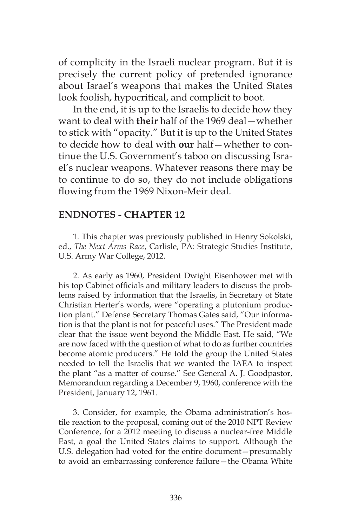of complicity in the Israeli nuclear program. But it is precisely the current policy of pretended ignorance about Israel's weapons that makes the United States look foolish, hypocritical, and complicit to boot.

In the end, it is up to the Israelis to decide how they want to deal with **their** half of the 1969 deal—whether to stick with "opacity." But it is up to the United States to decide how to deal with **our** half—whether to continue the U.S. Government's taboo on discussing Israel's nuclear weapons. Whatever reasons there may be to continue to do so, they do not include obligations flowing from the 1969 Nixon-Meir deal.

#### **ENDNOTES - CHAPTER 12**

1. This chapter was previously published in Henry Sokolski, ed., *The Next Arms Race*, Carlisle, PA: Strategic Studies Institute, U.S. Army War College, 2012.

2. As early as 1960, President Dwight Eisenhower met with his top Cabinet officials and military leaders to discuss the problems raised by information that the Israelis, in Secretary of State Christian Herter's words, were "operating a plutonium production plant." Defense Secretary Thomas Gates said, "Our information is that the plant is not for peaceful uses." The President made clear that the issue went beyond the Middle East. He said, "We are now faced with the question of what to do as further countries become atomic producers." He told the group the United States needed to tell the Israelis that we wanted the IAEA to inspect the plant "as a matter of course." See General A. J. Goodpastor, Memorandum regarding a December 9, 1960, conference with the President, January 12, 1961.

3. Consider, for example, the Obama administration's hostile reaction to the proposal, coming out of the 2010 NPT Review Conference, for a 2012 meeting to discuss a nuclear-free Middle East, a goal the United States claims to support. Although the U.S. delegation had voted for the entire document—presumably to avoid an embarrassing conference failure—the Obama White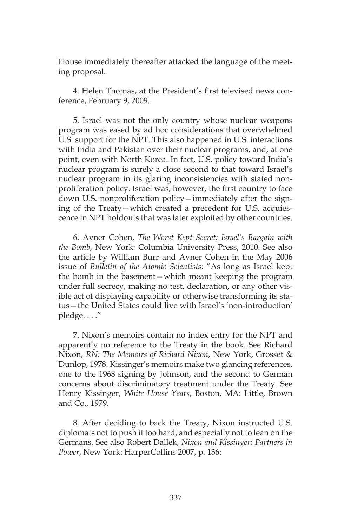House immediately thereafter attacked the language of the meeting proposal.

4. Helen Thomas, at the President's first televised news conference, February 9, 2009.

5. Israel was not the only country whose nuclear weapons program was eased by ad hoc considerations that overwhelmed U.S. support for the NPT. This also happened in U.S. interactions with India and Pakistan over their nuclear programs, and, at one point, even with North Korea. In fact, U.S. policy toward India's nuclear program is surely a close second to that toward Israel's nuclear program in its glaring inconsistencies with stated nonproliferation policy. Israel was, however, the first country to face down U.S. nonproliferation policy—immediately after the signing of the Treaty—which created a precedent for U.S. acquiescence in NPT holdouts that was later exploited by other countries.

6. Avner Cohen, *The Worst Kept Secret: Israel's Bargain with the Bomb*, New York: Columbia University Press, 2010. See also the article by William Burr and Avner Cohen in the May 2006 issue of *Bulletin of the Atomic Scientists*: "As long as Israel kept the bomb in the basement—which meant keeping the program under full secrecy, making no test, declaration, or any other visible act of displaying capability or otherwise transforming its status—the United States could live with Israel's 'non-introduction' pledge. . . ."

7. Nixon's memoirs contain no index entry for the NPT and apparently no reference to the Treaty in the book. See Richard Nixon, *RN: The Memoirs of Richard Nixon*, New York, Grosset & Dunlop, 1978. Kissinger's memoirs make two glancing references, one to the 1968 signing by Johnson, and the second to German concerns about discriminatory treatment under the Treaty. See Henry Kissinger, *White House Years*, Boston, MA: Little, Brown and Co., 1979.

8. After deciding to back the Treaty, Nixon instructed U.S. diplomats not to push it too hard, and especially not to lean on the Germans. See also Robert Dallek, *Nixon and Kissinger: Partners in Power*, New York: HarperCollins 2007, p. 136: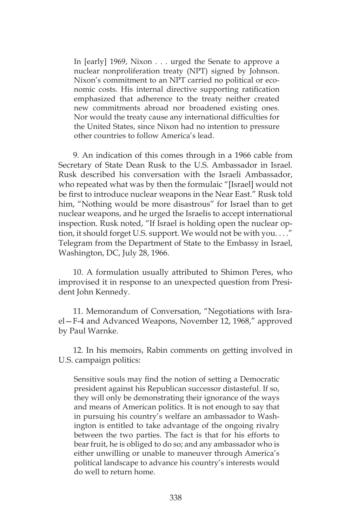In [early] 1969, Nixon . . . urged the Senate to approve a nuclear nonproliferation treaty (NPT) signed by Johnson. Nixon's commitment to an NPT carried no political or economic costs. His internal directive supporting ratification emphasized that adherence to the treaty neither created new commitments abroad nor broadened existing ones. Nor would the treaty cause any international difficulties for the United States, since Nixon had no intention to pressure other countries to follow America's lead.

9. An indication of this comes through in a 1966 cable from Secretary of State Dean Rusk to the U.S. Ambassador in Israel. Rusk described his conversation with the Israeli Ambassador, who repeated what was by then the formulaic "[Israel] would not be first to introduce nuclear weapons in the Near East." Rusk told him, "Nothing would be more disastrous" for Israel than to get nuclear weapons, and he urged the Israelis to accept international inspection. Rusk noted, "If Israel is holding open the nuclear option, it should forget U.S. support. We would not be with you. . . ." Telegram from the Department of State to the Embassy in Israel, Washington, DC, July 28, 1966.

10. A formulation usually attributed to Shimon Peres, who improvised it in response to an unexpected question from President John Kennedy.

11. Memorandum of Conversation, "Negotiations with Israel—F-4 and Advanced Weapons, November 12, 1968," approved by Paul Warnke.

12. In his memoirs, Rabin comments on getting involved in U.S. campaign politics:

Sensitive souls may find the notion of setting a Democratic president against his Republican successor distasteful. If so, they will only be demonstrating their ignorance of the ways and means of American politics. It is not enough to say that in pursuing his country's welfare an ambassador to Washington is entitled to take advantage of the ongoing rivalry between the two parties. The fact is that for his efforts to bear fruit, he is obliged to do so; and any ambassador who is either unwilling or unable to maneuver through America's political landscape to advance his country's interests would do well to return home.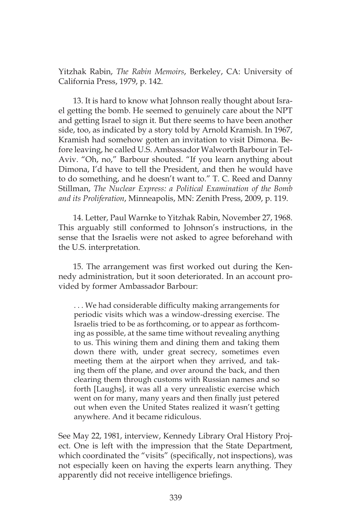Yitzhak Rabin, *The Rabin Memoirs*, Berkeley, CA: University of California Press, 1979, p. 142.

13. It is hard to know what Johnson really thought about Israel getting the bomb. He seemed to genuinely care about the NPT and getting Israel to sign it. But there seems to have been another side, too, as indicated by a story told by Arnold Kramish. In 1967, Kramish had somehow gotten an invitation to visit Dimona. Before leaving, he called U.S. Ambassador Walworth Barbour in Tel-Aviv. "Oh, no," Barbour shouted. "If you learn anything about Dimona, I'd have to tell the President, and then he would have to do something, and he doesn't want to." T. C. Reed and Danny Stillman, *The Nuclear Express: a Political Examination of the Bomb and its Proliferation*, Minneapolis, MN: Zenith Press, 2009, p. 119.

14. Letter, Paul Warnke to Yitzhak Rabin, November 27, 1968. This arguably still conformed to Johnson's instructions, in the sense that the Israelis were not asked to agree beforehand with the U.S. interpretation.

15. The arrangement was first worked out during the Kennedy administration, but it soon deteriorated. In an account provided by former Ambassador Barbour:

. . . We had considerable difficulty making arrangements for periodic visits which was a window-dressing exercise. The Israelis tried to be as forthcoming, or to appear as forthcoming as possible, at the same time without revealing anything to us. This wining them and dining them and taking them down there with, under great secrecy, sometimes even meeting them at the airport when they arrived, and taking them off the plane, and over around the back, and then clearing them through customs with Russian names and so forth [Laughs], it was all a very unrealistic exercise which went on for many, many years and then finally just petered out when even the United States realized it wasn't getting anywhere. And it became ridiculous.

See May 22, 1981, interview, Kennedy Library Oral History Project. One is left with the impression that the State Department, which coordinated the "visits" (specifically, not inspections), was not especially keen on having the experts learn anything. They apparently did not receive intelligence briefings.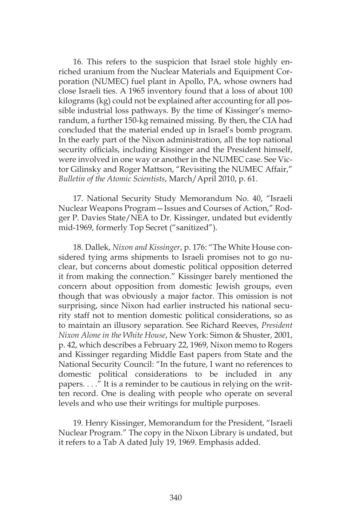16. This refers to the suspicion that Israel stole highly enriched uranium from the Nuclear Materials and Equipment Corporation (NUMEC) fuel plant in Apollo, PA, whose owners had close Israeli ties. A 1965 inventory found that a loss of about 100 kilograms (kg) could not be explained after accounting for all possible industrial loss pathways. By the time of Kissinger's memorandum, a further 150-kg remained missing. By then, the CIA had concluded that the material ended up in Israel's bomb program. In the early part of the Nixon administration, all the top national security officials, including Kissinger and the President himself, were involved in one way or another in the NUMEC case. See Victor Gilinsky and Roger Mattson, "Revisiting the NUMEC Affair," *Bulletin of the Atomic Scientists*, March/April 2010, p. 61.

17. National Security Study Memorandum No. 40, "Israeli Nuclear Weapons Program—Issues and Courses of Action," Rodger P. Davies State/NEA to Dr. Kissinger, undated but evidently mid-1969, formerly Top Secret ("sanitized").

18. Dallek, *Nixon and Kissinger*, p. 176: "The White House considered tying arms shipments to Israeli promises not to go nuclear, but concerns about domestic political opposition deterred it from making the connection." Kissinger barely mentioned the concern about opposition from domestic Jewish groups, even though that was obviously a major factor. This omission is not surprising, since Nixon had earlier instructed his national security staff not to mention domestic political considerations, so as to maintain an illusory separation. See Richard Reeves, *President Nixon Alone in the White House*, New York: Simon & Shuster, 2001, p. 42, which describes a February 22, 1969, Nixon memo to Rogers and Kissinger regarding Middle East papers from State and the National Security Council: "In the future, I want no references to domestic political considerations to be included in any papers. . . ." It is a reminder to be cautious in relying on the written record. One is dealing with people who operate on several levels and who use their writings for multiple purposes.

19. Henry Kissinger, Memorandum for the President, "Israeli Nuclear Program." The copy in the Nixon Library is undated, but it refers to a Tab A dated July 19, 1969. Emphasis added.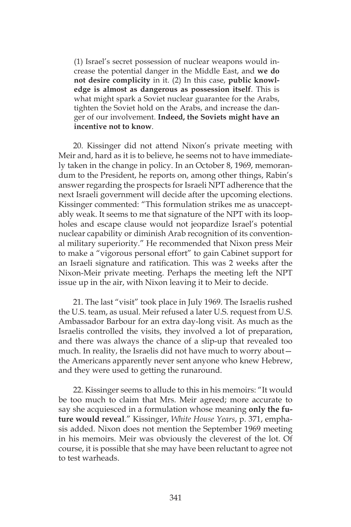(1) Israel's secret possession of nuclear weapons would increase the potential danger in the Middle East, and **we do not desire complicity** in it. (2) In this case, **public knowledge is almost as dangerous as possession itself**. This is what might spark a Soviet nuclear guarantee for the Arabs, tighten the Soviet hold on the Arabs, and increase the danger of our involvement. **Indeed, the Soviets might have an incentive not to know**.

20. Kissinger did not attend Nixon's private meeting with Meir and, hard as it is to believe, he seems not to have immediately taken in the change in policy. In an October 8, 1969, memorandum to the President, he reports on, among other things, Rabin's answer regarding the prospects for Israeli NPT adherence that the next Israeli government will decide after the upcoming elections. Kissinger commented: "This formulation strikes me as unacceptably weak. It seems to me that signature of the NPT with its loopholes and escape clause would not jeopardize Israel's potential nuclear capability or diminish Arab recognition of its conventional military superiority." He recommended that Nixon press Meir to make a "vigorous personal effort" to gain Cabinet support for an Israeli signature and ratification. This was 2 weeks after the Nixon-Meir private meeting. Perhaps the meeting left the NPT issue up in the air, with Nixon leaving it to Meir to decide.

21. The last "visit" took place in July 1969. The Israelis rushed the U.S. team, as usual. Meir refused a later U.S. request from U.S. Ambassador Barbour for an extra day-long visit. As much as the Israelis controlled the visits, they involved a lot of preparation, and there was always the chance of a slip-up that revealed too much. In reality, the Israelis did not have much to worry about the Americans apparently never sent anyone who knew Hebrew, and they were used to getting the runaround.

22. Kissinger seems to allude to this in his memoirs: "It would be too much to claim that Mrs. Meir agreed; more accurate to say she acquiesced in a formulation whose meaning **only the future would reveal**." Kissinger, *White House Years*, p. 371, emphasis added. Nixon does not mention the September 1969 meeting in his memoirs. Meir was obviously the cleverest of the lot. Of course, it is possible that she may have been reluctant to agree not to test warheads.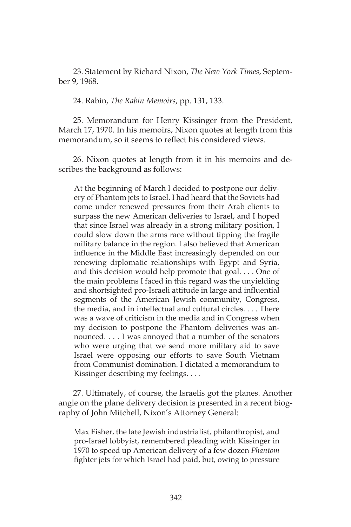23. Statement by Richard Nixon, *The New York Times*, September 9, 1968.

24. Rabin, *The Rabin Memoirs*, pp. 131, 133.

25. Memorandum for Henry Kissinger from the President, March 17, 1970. In his memoirs, Nixon quotes at length from this memorandum, so it seems to reflect his considered views.

26. Nixon quotes at length from it in his memoirs and describes the background as follows:

At the beginning of March I decided to postpone our delivery of Phantom jets to Israel. I had heard that the Soviets had come under renewed pressures from their Arab clients to surpass the new American deliveries to Israel, and I hoped that since Israel was already in a strong military position, I could slow down the arms race without tipping the fragile military balance in the region. I also believed that American influence in the Middle East increasingly depended on our renewing diplomatic relationships with Egypt and Syria, and this decision would help promote that goal. . . . One of the main problems I faced in this regard was the unyielding and shortsighted pro-Israeli attitude in large and influential segments of the American Jewish community, Congress, the media, and in intellectual and cultural circles. . . . There was a wave of criticism in the media and in Congress when my decision to postpone the Phantom deliveries was announced. . . . I was annoyed that a number of the senators who were urging that we send more military aid to save Israel were opposing our efforts to save South Vietnam from Communist domination. I dictated a memorandum to Kissinger describing my feelings. . . .

27. Ultimately, of course, the Israelis got the planes. Another angle on the plane delivery decision is presented in a recent biography of John Mitchell, Nixon's Attorney General:

Max Fisher, the late Jewish industrialist, philanthropist, and pro-Israel lobbyist, remembered pleading with Kissinger in 1970 to speed up American delivery of a few dozen *Phantom*  fighter jets for which Israel had paid, but, owing to pressure